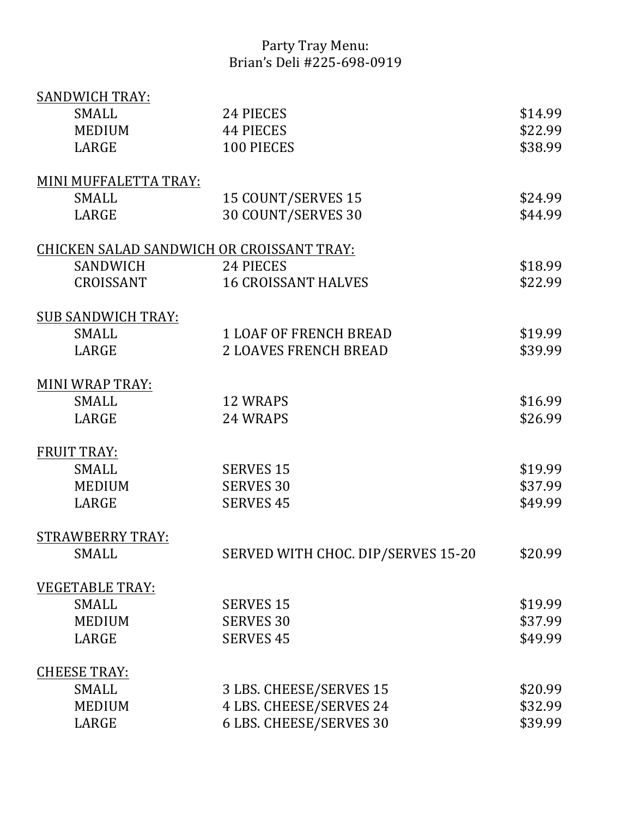## Party Tray Menu: Brian's Deli #225-698-0919

| <b>SANDWICH TRAY:</b>                     |                                    |         |
|-------------------------------------------|------------------------------------|---------|
| <b>SMALL</b>                              | 24 PIECES                          | \$14.99 |
| <b>MEDIUM</b>                             | <b>44 PIECES</b>                   | \$22.99 |
| LARGE                                     | 100 PIECES                         | \$38.99 |
|                                           |                                    |         |
| MINI MUFFALETTA TRAY:                     |                                    |         |
| <b>SMALL</b>                              | 15 COUNT/SERVES 15                 | \$24.99 |
| LARGE                                     | 30 COUNT/SERVES 30                 | \$44.99 |
| CHICKEN SALAD SANDWICH OR CROISSANT TRAY: |                                    |         |
| SANDWICH                                  | 24 PIECES                          | \$18.99 |
| CROISSANT                                 | <b>16 CROISSANT HALVES</b>         | \$22.99 |
|                                           |                                    |         |
| <b>SUB SANDWICH TRAY:</b>                 |                                    |         |
| <b>SMALL</b>                              | <b>1 LOAF OF FRENCH BREAD</b>      | \$19.99 |
| LARGE                                     | <b>2 LOAVES FRENCH BREAD</b>       | \$39.99 |
| MINI WRAP TRAY:                           |                                    |         |
| <b>SMALL</b>                              | <b>12 WRAPS</b>                    | \$16.99 |
| LARGE                                     | 24 WRAPS                           | \$26.99 |
| <b>FRUIT TRAY:</b>                        |                                    |         |
| <b>SMALL</b>                              | <b>SERVES 15</b>                   | \$19.99 |
| <b>MEDIUM</b>                             | <b>SERVES 30</b>                   | \$37.99 |
| LARGE                                     | <b>SERVES 45</b>                   | \$49.99 |
| <b>STRAWBERRY TRAY:</b>                   |                                    |         |
| <b>SMALL</b>                              | SERVED WITH CHOC. DIP/SERVES 15-20 | \$20.99 |
|                                           |                                    |         |
| <b>VEGETABLE TRAY:</b>                    |                                    |         |
| <b>SMALL</b>                              | <b>SERVES 15</b>                   | \$19.99 |
| <b>MEDIUM</b>                             | <b>SERVES 30</b>                   | \$37.99 |
| LARGE                                     | <b>SERVES 45</b>                   | \$49.99 |
| <b>CHEESE TRAY:</b>                       |                                    |         |
| <b>SMALL</b>                              | 3 LBS. CHEESE/SERVES 15            | \$20.99 |
| <b>MEDIUM</b>                             | 4 LBS. CHEESE/SERVES 24            | \$32.99 |
| LARGE                                     | 6 LBS. CHEESE/SERVES 30            | \$39.99 |
|                                           |                                    |         |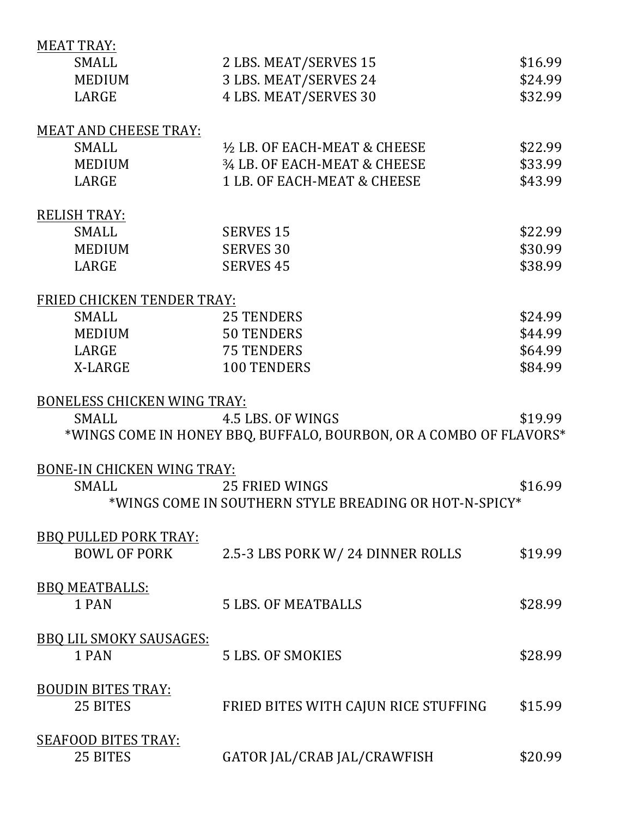| <b>MEAT TRAY:</b>                  |                                                                    |         |
|------------------------------------|--------------------------------------------------------------------|---------|
| <b>SMALL</b>                       | 2 LBS. MEAT/SERVES 15                                              | \$16.99 |
| <b>MEDIUM</b>                      | 3 LBS. MEAT/SERVES 24                                              | \$24.99 |
| LARGE                              | 4 LBS. MEAT/SERVES 30                                              | \$32.99 |
|                                    |                                                                    |         |
| <b>MEAT AND CHEESE TRAY:</b>       |                                                                    |         |
| <b>SMALL</b>                       | 1/2 LB. OF EACH-MEAT & CHEESE                                      | \$22.99 |
| <b>MEDIUM</b>                      | 3/4 LB, OF EACH-MEAT & CHEESE                                      | \$33.99 |
| LARGE                              | 1 LB. OF EACH-MEAT & CHEESE                                        | \$43.99 |
|                                    |                                                                    |         |
| <b>RELISH TRAY:</b>                |                                                                    |         |
| <b>SMALL</b>                       | <b>SERVES 15</b>                                                   | \$22.99 |
| <b>MEDIUM</b>                      | <b>SERVES 30</b>                                                   | \$30.99 |
| LARGE                              | <b>SERVES 45</b>                                                   | \$38.99 |
|                                    |                                                                    |         |
| FRIED CHICKEN TENDER TRAY:         |                                                                    |         |
| <b>SMALL</b>                       | <b>25 TENDERS</b>                                                  | \$24.99 |
| <b>MEDIUM</b>                      | <b>50 TENDERS</b>                                                  | \$44.99 |
| LARGE                              | <b>75 TENDERS</b>                                                  | \$64.99 |
| X-LARGE                            | <b>100 TENDERS</b>                                                 | \$84.99 |
|                                    |                                                                    |         |
| <b>BONELESS CHICKEN WING TRAY:</b> |                                                                    |         |
| <b>SMALL</b>                       | 4.5 LBS. OF WINGS                                                  | \$19.99 |
|                                    | *WINGS COME IN HONEY BBQ, BUFFALO, BOURBON, OR A COMBO OF FLAVORS* |         |
|                                    |                                                                    |         |
| BONE-IN CHICKEN WING TRAY:         |                                                                    |         |
| <b>SMALL</b>                       | 25 FRIED WINGS                                                     | \$16.99 |
|                                    | *WINGS COME IN SOUTHERN STYLE BREADING OR HOT-N-SPICY*             |         |
|                                    |                                                                    |         |
| <b>BBQ PULLED PORK TRAY:</b>       |                                                                    |         |
| <b>BOWL OF PORK</b>                | 2.5-3 LBS PORK W/24 DINNER ROLLS                                   | \$19.99 |
|                                    |                                                                    |         |
| <b>BBQ MEATBALLS:</b>              |                                                                    |         |
| 1 PAN                              | <b>5 LBS. OF MEATBALLS</b>                                         | \$28.99 |
|                                    |                                                                    |         |
| <b>BBQ LIL SMOKY SAUSAGES:</b>     |                                                                    |         |
| 1 PAN                              | <b>5 LBS. OF SMOKIES</b>                                           | \$28.99 |
|                                    |                                                                    |         |
| <b>BOUDIN BITES TRAY:</b>          |                                                                    |         |
| 25 BITES                           | FRIED BITES WITH CAJUN RICE STUFFING                               | \$15.99 |
|                                    |                                                                    |         |
| <b>SEAFOOD BITES TRAY:</b>         |                                                                    |         |
| 25 BITES                           | GATOR JAL/CRAB JAL/CRAWFISH                                        | \$20.99 |
|                                    |                                                                    |         |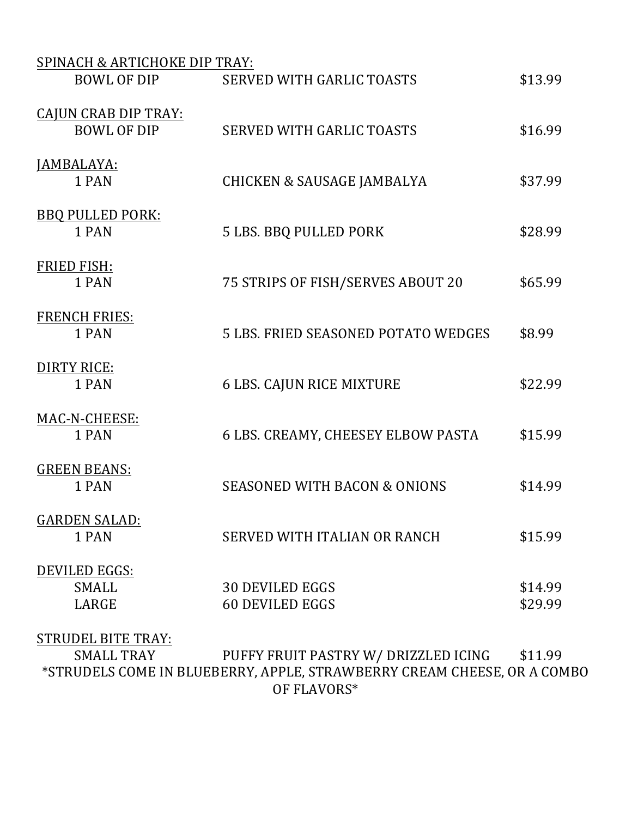| SPINACH & ARTICHOKE DIP TRAY:                     |                                                  |                    |
|---------------------------------------------------|--------------------------------------------------|--------------------|
| <b>BOWL OF DIP</b>                                | <b>SERVED WITH GARLIC TOASTS</b>                 | \$13.99            |
| <b>CAJUN CRAB DIP TRAY:</b><br><b>BOWL OF DIP</b> | <b>SERVED WITH GARLIC TOASTS</b>                 | \$16.99            |
| JAMBALAYA:<br>1 PAN                               | <b>CHICKEN &amp; SAUSAGE JAMBALYA</b>            | \$37.99            |
| <b>BBQ PULLED PORK:</b><br>1 PAN                  | <b>5 LBS. BBQ PULLED PORK</b>                    | \$28.99            |
| <b>FRIED FISH:</b><br>1 PAN                       | 75 STRIPS OF FISH/SERVES ABOUT 20                | \$65.99            |
| <b>FRENCH FRIES:</b><br>1 PAN                     | <b>5 LBS. FRIED SEASONED POTATO WEDGES</b>       | \$8.99             |
| <b>DIRTY RICE:</b><br>1 PAN                       | <b>6 LBS. CAJUN RICE MIXTURE</b>                 | \$22.99            |
| MAC-N-CHEESE:<br>1 PAN                            | 6 LBS. CREAMY, CHEESEY ELBOW PASTA               | \$15.99            |
| <b>GREEN BEANS:</b><br>1 PAN                      | <b>SEASONED WITH BACON &amp; ONIONS</b>          | \$14.99            |
| <b>GARDEN SALAD:</b><br>1 PAN                     | SERVED WITH ITALIAN OR RANCH                     | \$15.99            |
| DEVILED EGGS:<br><b>SMALL</b><br>LARGE            | <b>30 DEVILED EGGS</b><br><b>60 DEVILED EGGS</b> | \$14.99<br>\$29.99 |
| <b>CTRUDEL RITE TRAV.</b>                         |                                                  |                    |

SIRUDEL BITE TRAY:<br>SMALL TRAY PUFFY FRUIT PASTRY W/ DRIZZLED ICING \$11.99 \*STRUDELS COME IN BLUEBERRY, APPLE, STRAWBERRY CREAM CHEESE, OR A COMBO OF FLAVORS\*